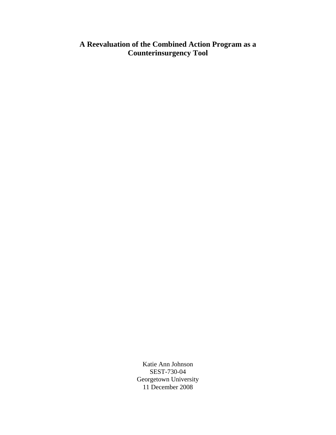# **A Reevaluation of the Combined Action Program as a Counterinsurgency Tool**

Katie Ann Johnson SEST-730-04 Georgetown University 11 December 2008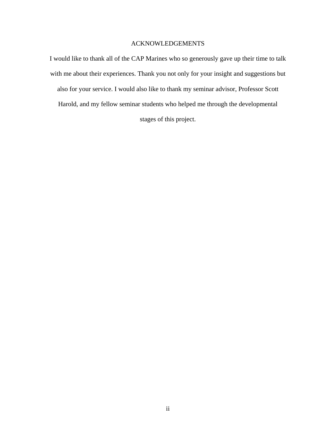# ACKNOWLEDGEMENTS

I would like to thank all of the CAP Marines who so generously gave up their time to talk with me about their experiences. Thank you not only for your insight and suggestions but also for your service. I would also like to thank my seminar advisor, Professor Scott Harold, and my fellow seminar students who helped me through the developmental stages of this project.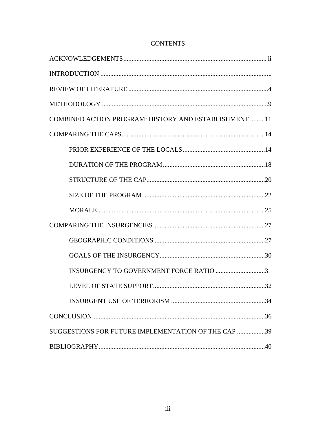| COMBINED ACTION PROGRAM: HISTORY AND ESTABLISHMENT 11 |
|-------------------------------------------------------|
|                                                       |
|                                                       |
|                                                       |
|                                                       |
|                                                       |
|                                                       |
|                                                       |
|                                                       |
|                                                       |
| INSURGENCY TO GOVERNMENT FORCE RATIO 31               |
|                                                       |
|                                                       |
|                                                       |
| SUGGESTIONS FOR FUTURE IMPLEMENTATION OF THE CAP 39   |
|                                                       |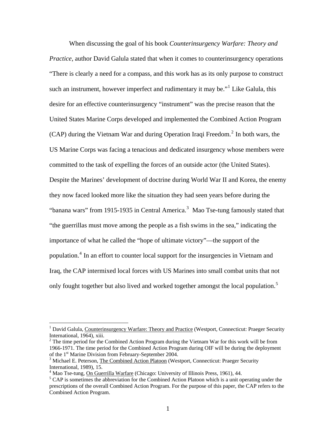When discussing the goal of his book *Counterinsurgency Warfare: Theory and Practice*, author David Galula stated that when it comes to counterinsurgency operations "There is clearly a need for a compass, and this work has as its only purpose to construct such an instrument, however imperfect and rudimentary it may be."<sup>[1](#page-3-0)</sup> Like Galula, this desire for an effective counterinsurgency "instrument" was the precise reason that the United States Marine Corps developed and implemented the Combined Action Program  $(CAP)$  during the Vietnam War and during Operation Iraqi Freedom.<sup>[2](#page-3-1)</sup> In both wars, the US Marine Corps was facing a tenacious and dedicated insurgency whose members were committed to the task of expelling the forces of an outside actor (the United States). Despite the Marines' development of doctrine during World War II and Korea, the enemy they now faced looked more like the situation they had seen years before during the "banana wars" from 1915-19[3](#page-3-2)5 in Central America.<sup>3</sup> Mao Tse-tung famously stated that "the guerrillas must move among the people as a fish swims in the sea," indicating the importance of what he called the "hope of ultimate victory"—the support of the population.<sup>[4](#page-3-3)</sup> In an effort to counter local support for the insurgencies in Vietnam and Iraq, the CAP intermixed local forces with US Marines into small combat units that not only fought together but also lived and worked together amongst the local population.<sup>[5](#page-3-4)</sup>

1

<span id="page-3-0"></span><sup>&</sup>lt;sup>1</sup> David Galula, Counterinsurgency Warfare: Theory and Practice (Westport, Connecticut: Praeger Security International, 1964), xiii.

<span id="page-3-1"></span> $2^2$  The time period for the Combined Action Program during the Vietnam War for this work will be from 1966-1971. The time period for the Combined Action Program during OIF will be during the deployment of the 1<sup>st</sup> Marine Division from February-September 2004.

<span id="page-3-2"></span> $3$  Michael E. Peterson, The Combined Action Platoon (Westport, Connecticut: Praeger Security International, 1989), 15.

<sup>&</sup>lt;sup>4</sup> Mao Tse-tung, <u>On Guerrilla Warfare</u> (Chicago: University of Illinois Press, 1961), 44.

<span id="page-3-4"></span><span id="page-3-3"></span><sup>&</sup>lt;sup>5</sup> CAP is sometimes the abbreviation for the Combined Action Platoon which is a unit operating under the prescriptions of the overall Combined Action Program. For the purpose of this paper, the CAP refers to the Combined Action Program.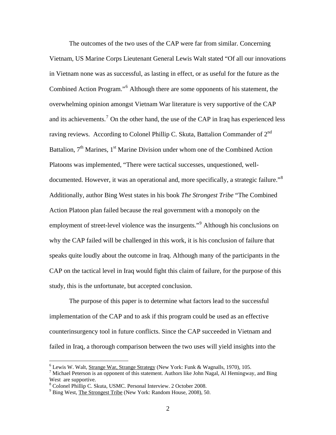The outcomes of the two uses of the CAP were far from similar. Concerning Vietnam, US Marine Corps Lieutenant General Lewis Walt stated "Of all our innovations in Vietnam none was as successful, as lasting in effect, or as useful for the future as the Combined Action Program."[6](#page-4-0) Although there are some opponents of his statement, the overwhelming opinion amongst Vietnam War literature is very supportive of the CAP and its achievements.<sup>[7](#page-4-1)</sup> On the other hand, the use of the CAP in Iraq has experienced less raving reviews. According to Colonel Phillip C. Skuta, Battalion Commander of  $2^{nd}$ Battalion,  $7<sup>th</sup>$  Marines,  $1<sup>st</sup>$  Marine Division under whom one of the Combined Action Platoons was implemented, "There were tactical successes, unquestioned, well-documented. However, it was an operational and, more specifically, a strategic failure."<sup>[8](#page-4-2)</sup> Additionally, author Bing West states in his book *The Strongest Tribe* "The Combined Action Platoon plan failed because the real government with a monopoly on the employment of street-level violence was the insurgents."<sup>[9](#page-4-3)</sup> Although his conclusions on why the CAP failed will be challenged in this work, it is his conclusion of failure that speaks quite loudly about the outcome in Iraq. Although many of the participants in the CAP on the tactical level in Iraq would fight this claim of failure, for the purpose of this study, this is the unfortunate, but accepted conclusion.

The purpose of this paper is to determine what factors lead to the successful implementation of the CAP and to ask if this program could be used as an effective counterinsurgency tool in future conflicts. Since the CAP succeeded in Vietnam and failed in Iraq, a thorough comparison between the two uses will yield insights into the

<span id="page-4-0"></span><sup>&</sup>lt;sup>6</sup> Lewis W. Walt, <u>Strange War, Strange Strategy</u> (New York: Funk & Wagnalls, 1970), 105.<br><sup>7</sup> Michael Retersor is an appenent of this statement. Authors like John Nagal, Al Hamingway

<span id="page-4-1"></span> $\frac{7}{1}$  Michael Peterson is an opponent of this statement. Authors like John Nagal, Al Hemingway, and Bing West are supportive.

<sup>&</sup>lt;sup>8</sup> Colonel Phillip C. Skuta, USMC. Personal Interview. 2 October 2008.

<span id="page-4-3"></span><span id="page-4-2"></span> $9^9$  Bing West, The Strongest Tribe (New York: Random House, 2008), 50.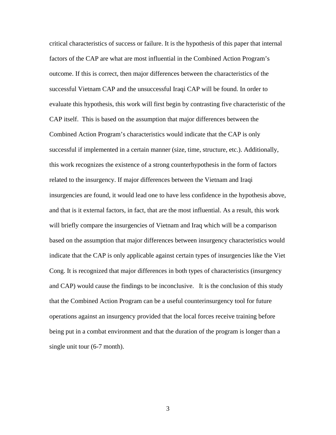critical characteristics of success or failure. It is the hypothesis of this paper that internal factors of the CAP are what are most influential in the Combined Action Program's outcome. If this is correct, then major differences between the characteristics of the successful Vietnam CAP and the unsuccessful Iraqi CAP will be found. In order to evaluate this hypothesis, this work will first begin by contrasting five characteristic of the CAP itself. This is based on the assumption that major differences between the Combined Action Program's characteristics would indicate that the CAP is only successful if implemented in a certain manner (size, time, structure, etc.). Additionally, this work recognizes the existence of a strong counterhypothesis in the form of factors related to the insurgency. If major differences between the Vietnam and Iraqi insurgencies are found, it would lead one to have less confidence in the hypothesis above, and that is it external factors, in fact, that are the most influential. As a result, this work will briefly compare the insurgencies of Vietnam and Iraq which will be a comparison based on the assumption that major differences between insurgency characteristics would indicate that the CAP is only applicable against certain types of insurgencies like the Viet Cong. It is recognized that major differences in both types of characteristics (insurgency and CAP) would cause the findings to be inconclusive. It is the conclusion of this study that the Combined Action Program can be a useful counterinsurgency tool for future operations against an insurgency provided that the local forces receive training before being put in a combat environment and that the duration of the program is longer than a single unit tour (6-7 month).

3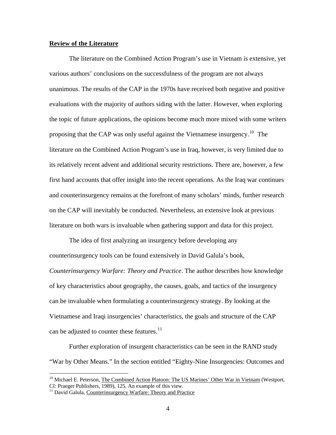## **Review of the Literature**

The literature on the Combined Action Program's use in Vietnam is extensive, yet various authors' conclusions on the successfulness of the program are not always unanimous. The results of the CAP in the 1970s have received both negative and positive evaluations with the majority of authors siding with the latter. However, when exploring the topic of future applications, the opinions become much more mixed with some writers proposing that the CAP was only useful against the Vietnamese insurgency.<sup>[10](#page-6-0)</sup> The literature on the Combined Action Program's use in Iraq, however, is very limited due to its relatively recent advent and additional security restrictions. There are, however, a few first hand accounts that offer insight into the recent operations. As the Iraq war continues and counterinsurgency remains at the forefront of many scholars' minds, further research on the CAP will inevitably be conducted. Nevertheless, an extensive look at previous literature on both wars is invaluable when gathering support and data for this project.

 The idea of first analyzing an insurgency before developing any counterinsurgency tools can be found extensively in David Galula's book, *Counterinsurgency Warfare: Theory and Practice*. The author describes how knowledge of key characteristics about geography, the causes, goals, and tactics of the insurgency can be invaluable when formulating a counterinsurgency strategy. By looking at the Vietnamese and Iraqi insurgencies' characteristics, the goals and structure of the CAP can be adjusted to counter these features. $^{11}$  $^{11}$  $^{11}$ 

Further exploration of insurgent characteristics can be seen in the RAND study "War by Other Means." In the section entitled "Eighty-Nine Insurgencies: Outcomes and

<span id="page-6-0"></span><sup>&</sup>lt;sup>10</sup> Michael E. Peterson, Th<u>e Combined Action Platoon: The US Marines' Other War in Vietnam</u> (Westport, CI: Praeger Publishers, 1989), 125. An example of this view.

<span id="page-6-1"></span><sup>&</sup>lt;sup>11</sup> David Galula, Counterinsurgency Warfare: Theory and Practice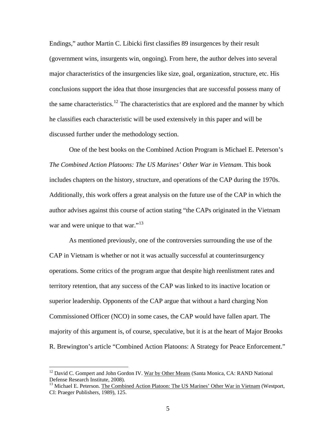Endings," author Martin C. Libicki first classifies 89 insurgences by their result (government wins, insurgents win, ongoing). From here, the author delves into several major characteristics of the insurgencies like size, goal, organization, structure, etc. His conclusions support the idea that those insurgencies that are successful possess many of the same characteristics.<sup>[12](#page-7-0)</sup> The characteristics that are explored and the manner by which he classifies each characteristic will be used extensively in this paper and will be discussed further under the methodology section.

 One of the best books on the Combined Action Program is Michael E. Peterson's *The Combined Action Platoons: The US Marines' Other War in Vietnam*. This book includes chapters on the history, structure, and operations of the CAP during the 1970s. Additionally, this work offers a great analysis on the future use of the CAP in which the author advises against this course of action stating "the CAPs originated in the Vietnam war and were unique to that war."<sup>[13](#page-7-1)</sup>

As mentioned previously, one of the controversies surrounding the use of the CAP in Vietnam is whether or not it was actually successful at counterinsurgency operations. Some critics of the program argue that despite high reenlistment rates and territory retention, that any success of the CAP was linked to its inactive location or superior leadership. Opponents of the CAP argue that without a hard charging Non Commissioned Officer (NCO) in some cases, the CAP would have fallen apart. The majority of this argument is, of course, speculative, but it is at the heart of Major Brooks R. Brewington's article "Combined Action Platoons: A Strategy for Peace Enforcement."

<span id="page-7-0"></span><sup>&</sup>lt;sup>12</sup> David C. Gompert and John Gordon IV. War by Other Means (Santa Monica, CA: RAND National Defense Research Institute, 2008).

<span id="page-7-1"></span><sup>&</sup>lt;sup>13</sup> Michael E. Peterson. The Combined Action Platoon: The US Marines' Other War in Vietnam (Westport, CI: Praeger Publishers, 1989), 125.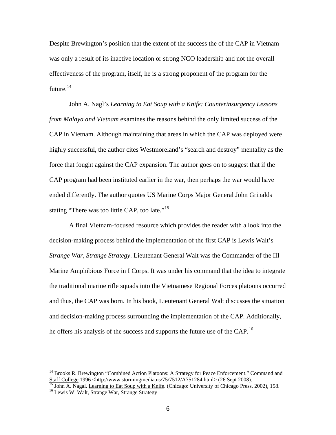Despite Brewington's position that the extent of the success the of the CAP in Vietnam was only a result of its inactive location or strong NCO leadership and not the overall effectiveness of the program, itself, he is a strong proponent of the program for the future. $14$ 

 John A. Nagl's *Learning to Eat Soup with a Knife: Counterinsurgency Lessons from Malaya and Vietnam* examines the reasons behind the only limited success of the CAP in Vietnam. Although maintaining that areas in which the CAP was deployed were highly successful, the author cites Westmoreland's "search and destroy" mentality as the force that fought against the CAP expansion. The author goes on to suggest that if the CAP program had been instituted earlier in the war, then perhaps the war would have ended differently. The author quotes US Marine Corps Major General John Grinalds stating "There was too little CAP, too late."<sup>[15](#page-8-1)</sup>

 A final Vietnam-focused resource which provides the reader with a look into the decision-making process behind the implementation of the first CAP is Lewis Walt's *Strange War, Strange Strategy*. Lieutenant General Walt was the Commander of the III Marine Amphibious Force in I Corps. It was under his command that the idea to integrate the traditional marine rifle squads into the Vietnamese Regional Forces platoons occurred and thus, the CAP was born. In his book, Lieutenant General Walt discusses the situation and decision-making process surrounding the implementation of the CAP. Additionally, he offers his analysis of the success and supports the future use of the CAP.<sup>[16](#page-8-2)</sup>

<sup>&</sup>lt;sup>14</sup> Brooks R. Brewington "Combined Action Platoons: A Strategy for Peace Enforcement." Command and

<span id="page-8-2"></span><span id="page-8-1"></span><span id="page-8-0"></span>Staff College 1996 <http://www.stormingmedia.us/75/7512/A751284.html> (26 Sept 2008).<br>
<sup>15</sup> John A. Nagal. <u>Learning to Eat Soup with a Knife</u>. (Chicago: University of Chicago Press, 2002), 158.<br>
<sup>16</sup> Lewis W. Walt, Strang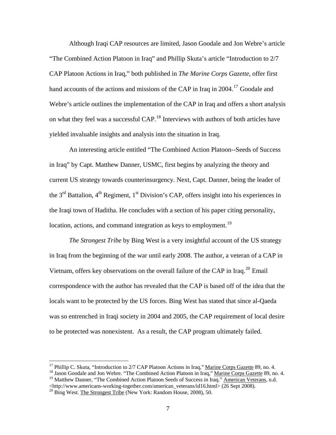Although Iraqi CAP resources are limited, Jason Goodale and Jon Webre's article "The Combined Action Platoon in Iraq" and Phillip Skuta's article "Introduction to 2/7 CAP Platoon Actions in Iraq," both published in *The Marine Corps Gazette*, offer first hand accounts of the actions and missions of the CAP in Iraq in 2004.<sup>[17](#page-9-0)</sup> Goodale and Webre's article outlines the implementation of the CAP in Iraq and offers a short analysis on what they feel was a successful CAP.[18](#page-9-1) Interviews with authors of both articles have yielded invaluable insights and analysis into the situation in Iraq.

 An interesting article entitled "The Combined Action Platoon--Seeds of Success in Iraq" by Capt. Matthew Danner, USMC, first begins by analyzing the theory and current US strategy towards counterinsurgency. Next, Capt. Danner, being the leader of the  $3<sup>rd</sup>$  Battalion,  $4<sup>th</sup>$  Regiment,  $1<sup>st</sup>$  Division's CAP, offers insight into his experiences in the Iraqi town of Haditha. He concludes with a section of his paper citing personality, location, actions, and command integration as keys to employment.<sup>[19](#page-9-2)</sup>

*The Strongest Tribe* by Bing West is a very insightful account of the US strategy in Iraq from the beginning of the war until early 2008. The author, a veteran of a CAP in Vietnam, offers key observations on the overall failure of the CAP in Iraq.<sup>[20](#page-9-3)</sup> Email correspondence with the author has revealed that the CAP is based off of the idea that the locals want to be protected by the US forces. Bing West has stated that since al-Qaeda was so entrenched in Iraqi society in 2004 and 2005, the CAP requirement of local desire to be protected was nonexistent. As a result, the CAP program ultimately failed.

<span id="page-9-0"></span><sup>&</sup>lt;sup>17</sup> Phillip C. Skuta, "Introduction to 2/7 CAP Platoon Actions in Iraq," <u>Marine Corps Gazette</u> 89, no. 4. <sup>18</sup> Jason Goodale and Jon Webre. "The Combined Action Platoon in Iraq," <u>Marine Corps Gazette</u> 89, no. 4.

<span id="page-9-2"></span><span id="page-9-1"></span><sup>&</sup>lt;sup>19</sup> Matthew Danner, "The Combined Action Platoon Seeds of Success in Iraq." American Veterans, n.d.

<span id="page-9-3"></span><sup>&</sup>lt;http://www.americans-working-together.com/american\_veterans/id16.html> (26 Sept 2008). 20 Bing West. The Strongest Tribe (New York: Random House, 2008), 50.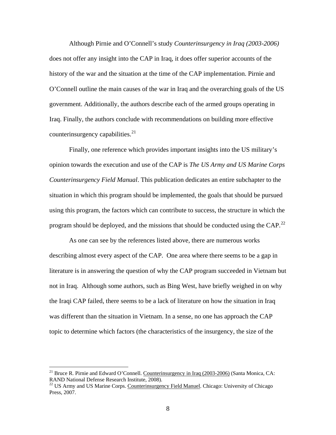Although Pirnie and O'Connell's study *Counterinsurgency in Iraq (2003-2006)* does not offer any insight into the CAP in Iraq, it does offer superior accounts of the history of the war and the situation at the time of the CAP implementation. Pirnie and O'Connell outline the main causes of the war in Iraq and the overarching goals of the US government. Additionally, the authors describe each of the armed groups operating in Iraq. Finally, the authors conclude with recommendations on building more effective counterinsurgency capabilities. $2<sup>1</sup>$ 

Finally, one reference which provides important insights into the US military's opinion towards the execution and use of the CAP is *The US Army and US Marine Corps Counterinsurgency Field Manual*. This publication dedicates an entire subchapter to the situation in which this program should be implemented, the goals that should be pursued using this program, the factors which can contribute to success, the structure in which the program should be deployed, and the missions that should be conducted using the CAP.<sup>[22](#page-10-1)</sup>

 As one can see by the references listed above, there are numerous works describing almost every aspect of the CAP. One area where there seems to be a gap in literature is in answering the question of why the CAP program succeeded in Vietnam but not in Iraq. Although some authors, such as Bing West, have briefly weighed in on why the Iraqi CAP failed, there seems to be a lack of literature on how the situation in Iraq was different than the situation in Vietnam. In a sense, no one has approach the CAP topic to determine which factors (the characteristics of the insurgency, the size of the

<span id="page-10-0"></span><sup>&</sup>lt;sup>21</sup> Bruce R. Pirnie and Edward O'Connell. Counterinsurgency in Iraq (2003-2006) (Santa Monica, CA: RAND National Defense Research Institute, 2008).

<span id="page-10-1"></span><sup>&</sup>lt;sup>22</sup> US Army and US Marine Corps. Counterinsurgency Field Manuel. Chicago: University of Chicago Press, 2007.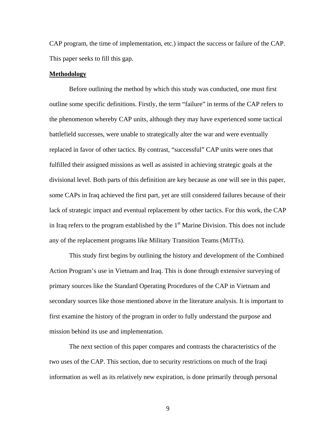CAP program, the time of implementation, etc.) impact the success or failure of the CAP. This paper seeks to fill this gap.

#### **Methodology**

 Before outlining the method by which this study was conducted, one must first outline some specific definitions. Firstly, the term "failure" in terms of the CAP refers to the phenomenon whereby CAP units, although they may have experienced some tactical battlefield successes, were unable to strategically alter the war and were eventually replaced in favor of other tactics. By contrast, "successful" CAP units were ones that fulfilled their assigned missions as well as assisted in achieving strategic goals at the divisional level. Both parts of this definition are key because as one will see in this paper, some CAPs in Iraq achieved the first part, yet are still considered failures because of their lack of strategic impact and eventual replacement by other tactics. For this work, the CAP in Iraq refers to the program established by the  $1<sup>st</sup>$  Marine Division. This does not include any of the replacement programs like Military Transition Teams (MiTTs).

 This study first begins by outlining the history and development of the Combined Action Program's use in Vietnam and Iraq. This is done through extensive surveying of primary sources like the Standard Operating Procedures of the CAP in Vietnam and secondary sources like those mentioned above in the literature analysis. It is important to first examine the history of the program in order to fully understand the purpose and mission behind its use and implementation.

 The next section of this paper compares and contrasts the characteristics of the two uses of the CAP. This section, due to security restrictions on much of the Iraqi information as well as its relatively new expiration, is done primarily through personal

9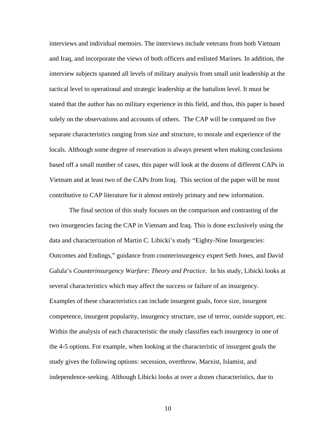interviews and individual memoirs. The interviews include veterans from both Vietnam and Iraq, and incorporate the views of both officers and enlisted Marines. In addition, the interview subjects spanned all levels of military analysis from small unit leadership at the tactical level to operational and strategic leadership at the battalion level. It must be stated that the author has no military experience in this field, and thus, this paper is based solely on the observations and accounts of others. The CAP will be compared on five separate characteristics ranging from size and structure, to morale and experience of the locals. Although some degree of reservation is always present when making conclusions based off a small number of cases, this paper will look at the dozens of different CAPs in Vietnam and at least two of the CAPs from Iraq. This section of the paper will be most contributive to CAP literature for it almost entirely primary and new information.

 The final section of this study focuses on the comparison and contrasting of the two insurgencies facing the CAP in Vietnam and Iraq. This is done exclusively using the data and characterization of Martin C. Libicki's study "Eighty-Nine Insurgencies: Outcomes and Endings," guidance from counterinsurgency expert Seth Jones, and David Galula's *Counterinsurgency Warfare: Theory and Practice*. In his study, Libicki looks at several characteristics which may affect the success or failure of an insurgency. Examples of these characteristics can include insurgent goals, force size, insurgent competence, insurgent popularity, insurgency structure, use of terror, outside support, etc. Within the analysis of each characteristic the study classifies each insurgency in one of the 4-5 options. For example, when looking at the characteristic of insurgent goals the study gives the following options: secession, overthrow, Marxist, Islamist, and independence-seeking. Although Libicki looks at over a dozen characteristics, due to

10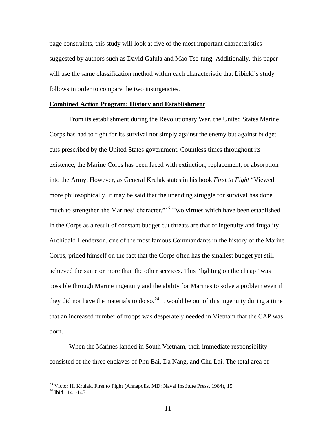page constraints, this study will look at five of the most important characteristics suggested by authors such as David Galula and Mao Tse-tung. Additionally, this paper will use the same classification method within each characteristic that Libicki's study follows in order to compare the two insurgencies.

#### **Combined Action Program: History and Establishment**

 From its establishment during the Revolutionary War, the United States Marine Corps has had to fight for its survival not simply against the enemy but against budget cuts prescribed by the United States government. Countless times throughout its existence, the Marine Corps has been faced with extinction, replacement, or absorption into the Army. However, as General Krulak states in his book *First to Fight* "Viewed more philosophically, it may be said that the unending struggle for survival has done much to strengthen the Marines' character."<sup>[23](#page-13-0)</sup> Two virtues which have been established in the Corps as a result of constant budget cut threats are that of ingenuity and frugality. Archibald Henderson, one of the most famous Commandants in the history of the Marine Corps, prided himself on the fact that the Corps often has the smallest budget yet still achieved the same or more than the other services. This "fighting on the cheap" was possible through Marine ingenuity and the ability for Marines to solve a problem even if they did not have the materials to do so.<sup>[24](#page-13-1)</sup> It would be out of this ingenuity during a time that an increased number of troops was desperately needed in Vietnam that the CAP was born.

 When the Marines landed in South Vietnam, their immediate responsibility consisted of the three enclaves of Phu Bai, Da Nang, and Chu Lai. The total area of

<span id="page-13-1"></span><span id="page-13-0"></span><sup>&</sup>lt;sup>23</sup> Victor H. Krulak, <u>First to Fight</u> (Annapolis, MD: Naval Institute Press, 1984), 15. <sup>24</sup> Ibid., 141-143.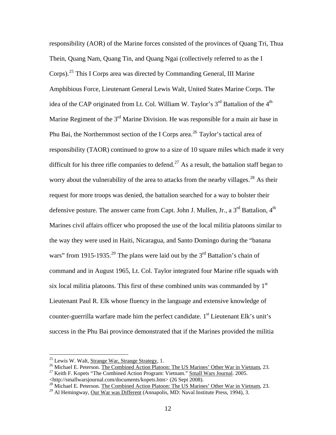responsibility (AOR) of the Marine forces consisted of the provinces of Quang Tri, Thua Thein, Quang Nam, Quang Tin, and Quang Ngai (collectively referred to as the I Corps).[25](#page-14-0) This I Corps area was directed by Commanding General, III Marine Amphibious Force, Lieutenant General Lewis Walt, United States Marine Corps. The idea of the CAP originated from Lt. Col. William W. Taylor's  $3<sup>rd</sup>$  Battalion of the 4<sup>th</sup> Marine Regiment of the  $3<sup>rd</sup>$  Marine Division. He was responsible for a main air base in Phu Bai, the Northernmost section of the I Corps area.<sup>[26](#page-14-1)</sup> Taylor's tactical area of responsibility (TAOR) continued to grow to a size of 10 square miles which made it very difficult for his three rifle companies to defend.<sup>[27](#page-14-2)</sup> As a result, the battalion staff began to worry about the vulnerability of the area to attacks from the nearby villages.<sup>[28](#page-14-3)</sup> As their request for more troops was denied, the battalion searched for a way to bolster their defensive posture. The answer came from Capt. John J. Mullen, Jr., a  $3<sup>rd</sup>$  Battalion,  $4<sup>th</sup>$ Marines civil affairs officer who proposed the use of the local militia platoons similar to the way they were used in Haiti, Nicaragua, and Santo Domingo during the "banana wars" from 1915-1935.<sup>[29](#page-14-4)</sup> The plans were laid out by the  $3<sup>rd</sup>$  Battalion's chain of command and in August 1965, Lt. Col. Taylor integrated four Marine rifle squads with six local militia platoons. This first of these combined units was commanded by  $1<sup>st</sup>$ Lieutenant Paul R. Elk whose fluency in the language and extensive knowledge of counter-guerrilla warfare made him the perfect candidate.  $1<sup>st</sup>$  Lieutenant Elk's unit's success in the Phu Bai province demonstrated that if the Marines provided the militia

<sup>&</sup>lt;sup>25</sup> Lewis W. Walt, Strange War, Strange Strategy, 1.

<span id="page-14-2"></span><span id="page-14-1"></span><span id="page-14-0"></span><sup>&</sup>lt;sup>26</sup> Michael E. Peterson. The Combined Action Platoon: The US Marines' Other War in Vietnam, 23.<br><sup>27</sup> Keith F. Kopets "The Combined Action Program: Vietnam." Small Wars Journal. 2005.

<sup>&</sup>lt;http://smallwarsjournal.com/documents/kopets.htm> (26 Sept 2008).

<span id="page-14-3"></span><sup>&</sup>lt;sup>28</sup> Michael E. Peterson. The Combined Action Platoon: The US Marines' Other War in Vietnam, 23.

<span id="page-14-4"></span> $^{29}$  Al Hemingway, Our War was Different (Annapolis, MD: Naval Institute Press, 1994), 3.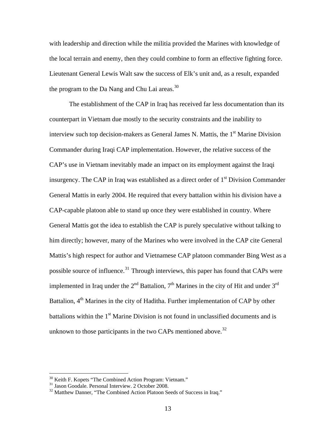with leadership and direction while the militia provided the Marines with knowledge of the local terrain and enemy, then they could combine to form an effective fighting force. Lieutenant General Lewis Walt saw the success of Elk's unit and, as a result, expanded the program to the Da Nang and Chu Lai areas.<sup>[30](#page-15-0)</sup>

 The establishment of the CAP in Iraq has received far less documentation than its counterpart in Vietnam due mostly to the security constraints and the inability to interview such top decision-makers as General James N. Mattis, the  $1<sup>st</sup>$  Marine Division Commander during Iraqi CAP implementation. However, the relative success of the CAP's use in Vietnam inevitably made an impact on its employment against the Iraqi insurgency. The CAP in Iraq was established as a direct order of  $1<sup>st</sup>$  Division Commander General Mattis in early 2004. He required that every battalion within his division have a CAP-capable platoon able to stand up once they were established in country. Where General Mattis got the idea to establish the CAP is purely speculative without talking to him directly; however, many of the Marines who were involved in the CAP cite General Mattis's high respect for author and Vietnamese CAP platoon commander Bing West as a possible source of influence.<sup>[31](#page-15-1)</sup> Through interviews, this paper has found that CAPs were implemented in Iraq under the  $2<sup>nd</sup>$  Battalion,  $7<sup>th</sup>$  Marines in the city of Hit and under  $3<sup>rd</sup>$ Battalion, 4<sup>th</sup> Marines in the city of Haditha. Further implementation of CAP by other battalions within the  $1<sup>st</sup>$  Marine Division is not found in unclassified documents and is unknown to those participants in the two CAPs mentioned above.<sup>[32](#page-15-2)</sup>

<span id="page-15-0"></span><sup>&</sup>lt;sup>30</sup> Keith F. Kopets "The Combined Action Program: Vietnam."

<span id="page-15-1"></span><sup>&</sup>lt;sup>31</sup> Jason Goodale. Personal Interview. 2 October 2008.

<span id="page-15-2"></span><sup>&</sup>lt;sup>32</sup> Matthew Danner, "The Combined Action Platoon Seeds of Success in Iraq."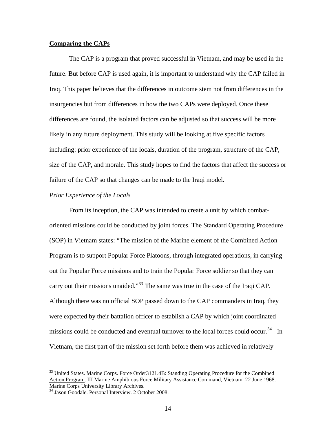## **Comparing the CAPs**

 The CAP is a program that proved successful in Vietnam, and may be used in the future. But before CAP is used again, it is important to understand why the CAP failed in Iraq. This paper believes that the differences in outcome stem not from differences in the insurgencies but from differences in how the two CAPs were deployed. Once these differences are found, the isolated factors can be adjusted so that success will be more likely in any future deployment. This study will be looking at five specific factors including: prior experience of the locals, duration of the program, structure of the CAP, size of the CAP, and morale. This study hopes to find the factors that affect the success or failure of the CAP so that changes can be made to the Iraqi model.

#### *Prior Experience of the Locals*

 From its inception, the CAP was intended to create a unit by which combatoriented missions could be conducted by joint forces. The Standard Operating Procedure (SOP) in Vietnam states: "The mission of the Marine element of the Combined Action Program is to support Popular Force Platoons, through integrated operations, in carrying out the Popular Force missions and to train the Popular Force soldier so that they can carry out their missions unaided."<sup>[33](#page-16-0)</sup> The same was true in the case of the Iraqi CAP. Although there was no official SOP passed down to the CAP commanders in Iraq, they were expected by their battalion officer to establish a CAP by which joint coordinated missions could be conducted and eventual turnover to the local forces could occur.<sup>[34](#page-16-1)</sup> In Vietnam, the first part of the mission set forth before them was achieved in relatively

<span id="page-16-0"></span><sup>&</sup>lt;sup>33</sup> United States. Marine Corps. Force Order3121.4B: Standing Operating Procedure for the Combined Action Program. III Marine Amphibious Force Military Assistance Command, Vietnam. 22 June 1968. Marine Corps University Library Archives. 34 Jason Goodale. Personal Interview. 2 October 2008.

<span id="page-16-1"></span>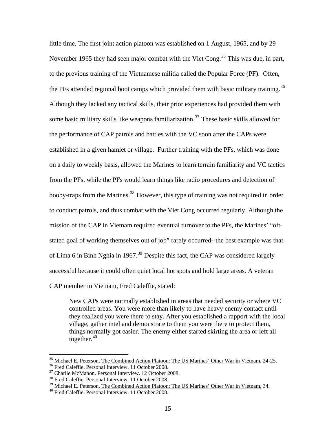little time. The first joint action platoon was established on 1 August, 1965, and by 29 November 1965 they had seen major combat with the Viet Cong.<sup>[35](#page-17-0)</sup> This was due, in part, to the previous training of the Vietnamese militia called the Popular Force (PF). Often, the PFs attended regional boot camps which provided them with basic military training.<sup>[36](#page-17-1)</sup> Although they lacked any tactical skills, their prior experiences had provided them with some basic military skills like weapons familiarization.<sup>[37](#page-17-2)</sup> These basic skills allowed for the performance of CAP patrols and battles with the VC soon after the CAPs were established in a given hamlet or village. Further training with the PFs, which was done on a daily to weekly basis, allowed the Marines to learn terrain familiarity and VC tactics from the PFs, while the PFs would learn things like radio procedures and detection of booby-traps from the Marines.<sup>[38](#page-17-3)</sup> However, this type of training was not required in order to conduct patrols, and thus combat with the Viet Cong occurred regularly. Although the mission of the CAP in Vietnam required eventual turnover to the PFs, the Marines' "oftstated goal of working themselves out of job" rarely occurred--the best example was that of Lima 6 in Binh Nghia in 1967.<sup>[39](#page-17-4)</sup> Despite this fact, the CAP was considered largely successful because it could often quiet local hot spots and hold large areas. A veteran CAP member in Vietnam, Fred Caleffie, stated:

New CAPs were normally established in areas that needed security or where VC controlled areas. You were more than likely to have heavy enemy contact until they realized you were there to stay. After you established a rapport with the local village, gather intel and demonstrate to them you were there to protect them, things normally got easier. The enemy either started skirting the area or left all together. $40$ 

<span id="page-17-0"></span><sup>&</sup>lt;sup>35</sup> Michael E. Peterson. <u>The Combined Action Platoon: The US Marines' Other War in Vietnam</u>, 24-25.<br><sup>36</sup> Fred Caleffie. Personal Interview. 11 October 2008.

<span id="page-17-2"></span><span id="page-17-1"></span><sup>37</sup> Charlie McMahon. Personal Interview. 12 October 2008.

<sup>38</sup> Fred Caleffie. Personal Interview. 11 October 2008.

<span id="page-17-5"></span><span id="page-17-4"></span><span id="page-17-3"></span> $39$  Michael E. Peterson. The Combined Action Platoon: The US Marines' Other War in Vietnam, 34.  $40$  Fred Caleffie. Personal Interview. 11 October 2008.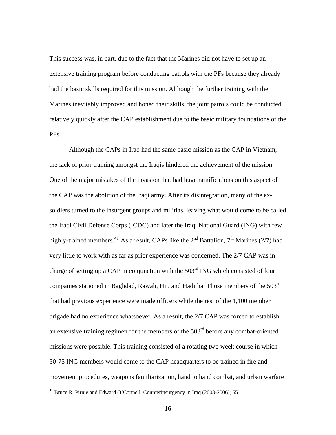This success was, in part, due to the fact that the Marines did not have to set up an extensive training program before conducting patrols with the PFs because they already had the basic skills required for this mission. Although the further training with the Marines inevitably improved and honed their skills, the joint patrols could be conducted relatively quickly after the CAP establishment due to the basic military foundations of the PFs.

 Although the CAPs in Iraq had the same basic mission as the CAP in Vietnam, the lack of prior training amongst the Iraqis hindered the achievement of the mission. One of the major mistakes of the invasion that had huge ramifications on this aspect of the CAP was the abolition of the Iraqi army. After its disintegration, many of the exsoldiers turned to the insurgent groups and militias, leaving what would come to be called the Iraqi Civil Defense Corps (ICDC) and later the Iraqi National Guard (ING) with few highly-trained members.<sup>[41](#page-18-0)</sup> As a result, CAPs like the  $2^{nd}$  Battalion,  $7^{th}$  Marines (2/7) had very little to work with as far as prior experience was concerned. The 2/7 CAP was in charge of setting up a CAP in conjunction with the  $503<sup>rd</sup>$  ING which consisted of four companies stationed in Baghdad, Rawah, Hit, and Haditha. Those members of the 503<sup>rd</sup> that had previous experience were made officers while the rest of the 1,100 member brigade had no experience whatsoever. As a result, the 2/7 CAP was forced to establish an extensive training regimen for the members of the  $503<sup>rd</sup>$  before any combat-oriented missions were possible. This training consisted of a rotating two week course in which 50-75 ING members would come to the CAP headquarters to be trained in fire and movement procedures, weapons familiarization, hand to hand combat, and urban warfare

<span id="page-18-0"></span><sup>&</sup>lt;sup>41</sup> Bruce R. Pirnie and Edward O'Connell. Counterinsurgency in Iraq (2003-2006), 65.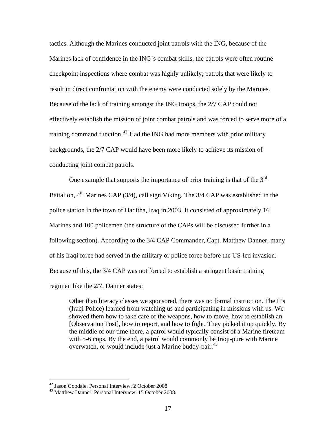tactics. Although the Marines conducted joint patrols with the ING, because of the Marines lack of confidence in the ING's combat skills, the patrols were often routine checkpoint inspections where combat was highly unlikely; patrols that were likely to result in direct confrontation with the enemy were conducted solely by the Marines. Because of the lack of training amongst the ING troops, the 2/7 CAP could not effectively establish the mission of joint combat patrols and was forced to serve more of a training command function.<sup>[42](#page-19-0)</sup> Had the ING had more members with prior military backgrounds, the 2/7 CAP would have been more likely to achieve its mission of conducting joint combat patrols.

One example that supports the importance of prior training is that of the  $3<sup>rd</sup>$ Battalion,  $4<sup>th</sup>$  Marines CAP (3/4), call sign Viking. The 3/4 CAP was established in the police station in the town of Haditha, Iraq in 2003. It consisted of approximately 16 Marines and 100 policemen (the structure of the CAPs will be discussed further in a following section). According to the 3/4 CAP Commander, Capt. Matthew Danner, many of his Iraqi force had served in the military or police force before the US-led invasion. Because of this, the 3/4 CAP was not forced to establish a stringent basic training regimen like the 2/7. Danner states:

Other than literacy classes we sponsored, there was no formal instruction. The IPs (Iraqi Police) learned from watching us and participating in missions with us. We showed them how to take care of the weapons, how to move, how to establish an [Observation Post], how to report, and how to fight. They picked it up quickly. By the middle of our time there, a patrol would typically consist of a Marine fireteam with 5-6 cops. By the end, a patrol would commonly be Iraqi-pure with Marine overwatch, or would include just a Marine buddy-pair.<sup>[43](#page-19-1)</sup>

<sup>&</sup>lt;sup>42</sup> Jason Goodale. Personal Interview. 2 October 2008.

<span id="page-19-1"></span><span id="page-19-0"></span><sup>43</sup> Matthew Danner. Personal Interview. 15 October 2008.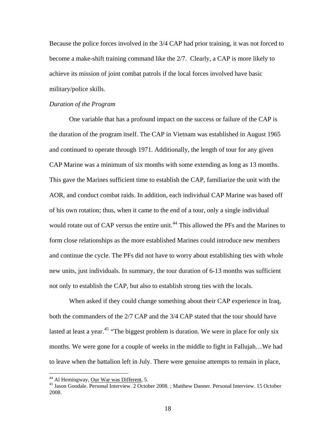Because the police forces involved in the 3/4 CAP had prior training, it was not forced to become a make-shift training command like the 2/7. Clearly, a CAP is more likely to achieve its mission of joint combat patrols if the local forces involved have basic military/police skills.

#### *Duration of the Program*

 One variable that has a profound impact on the success or failure of the CAP is the duration of the program itself. The CAP in Vietnam was established in August 1965 and continued to operate through 1971. Additionally, the length of tour for any given CAP Marine was a minimum of six months with some extending as long as 13 months. This gave the Marines sufficient time to establish the CAP, familiarize the unit with the AOR, and conduct combat raids. In addition, each individual CAP Marine was based off of his own rotation; thus, when it came to the end of a tour, only a single individual would rotate out of CAP versus the entire unit.<sup>[44](#page-20-0)</sup> This allowed the PFs and the Marines to form close relationships as the more established Marines could introduce new members and continue the cycle. The PFs did not have to worry about establishing ties with whole new units, just individuals. In summary, the tour duration of 6-13 months was sufficient not only to establish the CAP, but also to establish strong ties with the locals.

 When asked if they could change something about their CAP experience in Iraq, both the commanders of the 2/7 CAP and the 3/4 CAP stated that the tour should have lasted at least a year.<sup>[45](#page-20-1)</sup> "The biggest problem is duration. We were in place for only six months. We were gone for a couple of weeks in the middle to fight in Fallujah…We had to leave when the battalion left in July. There were genuine attempts to remain in place,

<span id="page-20-1"></span><span id="page-20-0"></span><sup>&</sup>lt;sup>44</sup> Al Hemingway, <u>Our War was Different</u>, 5.<br><sup>45</sup> Jason Goodale. Personal Interview. 2 October 2008. ; Matthew Danner. Personal Interview. 15 October 2008.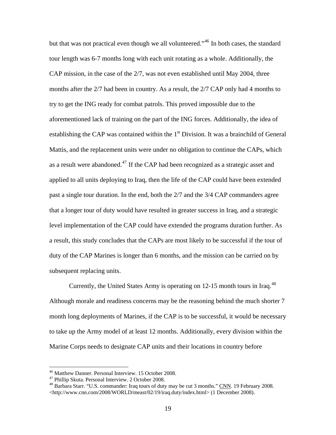but that was not practical even though we all volunteered."<sup>[46](#page-21-0)</sup> In both cases, the standard tour length was 6-7 months long with each unit rotating as a whole. Additionally, the CAP mission, in the case of the 2/7, was not even established until May 2004, three months after the 2/7 had been in country. As a result, the 2/7 CAP only had 4 months to try to get the ING ready for combat patrols. This proved impossible due to the aforementioned lack of training on the part of the ING forces. Additionally, the idea of establishing the CAP was contained within the  $1<sup>st</sup>$  Division. It was a brainchild of General Mattis, and the replacement units were under no obligation to continue the CAPs, which as a result were abandoned.<sup>[47](#page-21-1)</sup> If the CAP had been recognized as a strategic asset and applied to all units deploying to Iraq, then the life of the CAP could have been extended past a single tour duration. In the end, both the 2/7 and the 3/4 CAP commanders agree that a longer tour of duty would have resulted in greater success in Iraq, and a strategic level implementation of the CAP could have extended the programs duration further. As a result, this study concludes that the CAPs are most likely to be successful if the tour of duty of the CAP Marines is longer than 6 months, and the mission can be carried on by subsequent replacing units.

Currently, the United States Army is operating on 12-15 month tours in Iraq.[48](#page-21-2) Although morale and readiness concerns may be the reasoning behind the much shorter 7 month long deployments of Marines, if the CAP is to be successful, it would be necessary to take up the Army model of at least 12 months. Additionally, every division within the Marine Corps needs to designate CAP units and their locations in country before

<sup>46</sup> Matthew Danner. Personal Interview. 15 October 2008.

<span id="page-21-1"></span><span id="page-21-0"></span><sup>47</sup> Phillip Skuta. Personal Interview. 2 October 2008.

<span id="page-21-2"></span><sup>&</sup>lt;sup>48</sup> Barbara Starr. "U.S. commander: Iraq tours of duty may be cut 3 months." CNN. 19 February 2008. <http://www.cnn.com/2008/WORLD/meast/02/19/iraq.duty/index.html> (1 December 2008).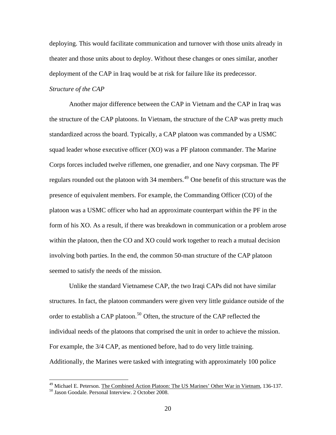deploying. This would facilitate communication and turnover with those units already in theater and those units about to deploy. Without these changes or ones similar, another deployment of the CAP in Iraq would be at risk for failure like its predecessor.

# *Structure of the CAP*

 Another major difference between the CAP in Vietnam and the CAP in Iraq was the structure of the CAP platoons. In Vietnam, the structure of the CAP was pretty much standardized across the board. Typically, a CAP platoon was commanded by a USMC squad leader whose executive officer (XO) was a PF platoon commander. The Marine Corps forces included twelve riflemen, one grenadier, and one Navy corpsman. The PF regulars rounded out the platoon with 34 members.<sup>[49](#page-22-0)</sup> One benefit of this structure was the presence of equivalent members. For example, the Commanding Officer (CO) of the platoon was a USMC officer who had an approximate counterpart within the PF in the form of his XO. As a result, if there was breakdown in communication or a problem arose within the platoon, then the CO and XO could work together to reach a mutual decision involving both parties. In the end, the common 50-man structure of the CAP platoon seemed to satisfy the needs of the mission.

 Unlike the standard Vietnamese CAP, the two Iraqi CAPs did not have similar structures. In fact, the platoon commanders were given very little guidance outside of the order to establish a CAP platoon.<sup>[50](#page-22-1)</sup> Often, the structure of the CAP reflected the individual needs of the platoons that comprised the unit in order to achieve the mission. For example, the 3/4 CAP, as mentioned before, had to do very little training. Additionally, the Marines were tasked with integrating with approximately 100 police

<span id="page-22-1"></span><span id="page-22-0"></span><sup>&</sup>lt;sup>49</sup> Michael E. Peterson. <u>The Combined Action Platoon: The US Marines' Other War in Vietnam</u>, 136-137. <sup>50</sup> Jason Goodale. Personal Interview. 2 October 2008.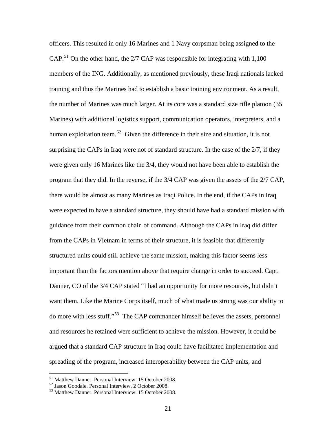officers. This resulted in only 16 Marines and 1 Navy corpsman being assigned to the CAP.<sup>[51](#page-23-0)</sup> On the other hand, the 2/7 CAP was responsible for integrating with 1,100 members of the ING. Additionally, as mentioned previously, these Iraqi nationals lacked training and thus the Marines had to establish a basic training environment. As a result, the number of Marines was much larger. At its core was a standard size rifle platoon (35 Marines) with additional logistics support, communication operators, interpreters, and a human exploitation team.<sup>[52](#page-23-1)</sup> Given the difference in their size and situation, it is not surprising the CAPs in Iraq were not of standard structure. In the case of the 2/7, if they were given only 16 Marines like the 3/4, they would not have been able to establish the program that they did. In the reverse, if the 3/4 CAP was given the assets of the 2/7 CAP, there would be almost as many Marines as Iraqi Police. In the end, if the CAPs in Iraq were expected to have a standard structure, they should have had a standard mission with guidance from their common chain of command. Although the CAPs in Iraq did differ from the CAPs in Vietnam in terms of their structure, it is feasible that differently structured units could still achieve the same mission, making this factor seems less important than the factors mention above that require change in order to succeed. Capt. Danner, CO of the 3/4 CAP stated "I had an opportunity for more resources, but didn't want them. Like the Marine Corps itself, much of what made us strong was our ability to do more with less stuff."[53](#page-23-2) The CAP commander himself believes the assets, personnel and resources he retained were sufficient to achieve the mission. However, it could be argued that a standard CAP structure in Iraq could have facilitated implementation and spreading of the program, increased interoperability between the CAP units, and

<span id="page-23-0"></span><sup>51</sup> Matthew Danner. Personal Interview. 15 October 2008.

<span id="page-23-1"></span><sup>52</sup> Jason Goodale. Personal Interview. 2 October 2008.

<span id="page-23-2"></span><sup>53</sup> Matthew Danner. Personal Interview. 15 October 2008.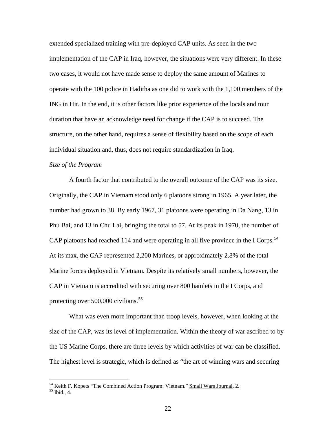extended specialized training with pre-deployed CAP units. As seen in the two implementation of the CAP in Iraq, however, the situations were very different. In these two cases, it would not have made sense to deploy the same amount of Marines to operate with the 100 police in Haditha as one did to work with the 1,100 members of the ING in Hit. In the end, it is other factors like prior experience of the locals and tour duration that have an acknowledge need for change if the CAP is to succeed. The structure, on the other hand, requires a sense of flexibility based on the scope of each individual situation and, thus, does not require standardization in Iraq.

### *Size of the Program*

 A fourth factor that contributed to the overall outcome of the CAP was its size. Originally, the CAP in Vietnam stood only 6 platoons strong in 1965. A year later, the number had grown to 38. By early 1967, 31 platoons were operating in Da Nang, 13 in Phu Bai, and 13 in Chu Lai, bringing the total to 57. At its peak in 1970, the number of CAP platoons had reached 114 and were operating in all five province in the I Corps.<sup>[54](#page-24-0)</sup> At its max, the CAP represented 2,200 Marines, or approximately 2.8% of the total Marine forces deployed in Vietnam. Despite its relatively small numbers, however, the CAP in Vietnam is accredited with securing over 800 hamlets in the I Corps, and protecting over  $500,000$  civilians.<sup>[55](#page-24-1)</sup>

What was even more important than troop levels, however, when looking at the size of the CAP, was its level of implementation. Within the theory of war ascribed to by the US Marine Corps, there are three levels by which activities of war can be classified. The highest level is strategic, which is defined as "the art of winning wars and securing

<span id="page-24-0"></span><sup>&</sup>lt;sup>54</sup> Keith F. Kopets "The Combined Action Program: Vietnam." <u>Small Wars Journal</u>, 2.<br><sup>55</sup> Ibid., 4.

<span id="page-24-1"></span>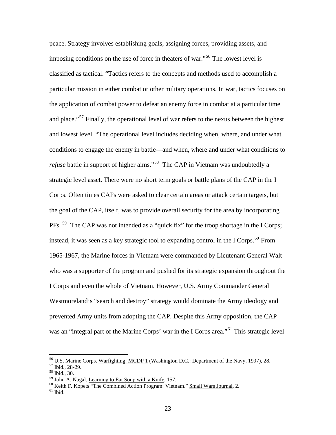peace. Strategy involves establishing goals, assigning forces, providing assets, and imposing conditions on the use of force in theaters of war."[56](#page-25-0) The lowest level is classified as tactical. "Tactics refers to the concepts and methods used to accomplish a particular mission in either combat or other military operations. In war, tactics focuses on the application of combat power to defeat an enemy force in combat at a particular time and place."<sup>[57](#page-25-1)</sup> Finally, the operational level of war refers to the nexus between the highest and lowest level. "The operational level includes deciding when, where, and under what conditions to engage the enemy in battle—and when, where and under what conditions to *refuse* battle in support of higher aims."<sup>[58](#page-25-2)</sup> The CAP in Vietnam was undoubtedly a strategic level asset. There were no short term goals or battle plans of the CAP in the I Corps. Often times CAPs were asked to clear certain areas or attack certain targets, but the goal of the CAP, itself, was to provide overall security for the area by incorporating PFs.<sup>[59](#page-25-3)</sup> The CAP was not intended as a "quick fix" for the troop shortage in the I Corps; instead, it was seen as a key strategic tool to expanding control in the I Corps.<sup>[60](#page-25-4)</sup> From 1965-1967, the Marine forces in Vietnam were commanded by Lieutenant General Walt who was a supporter of the program and pushed for its strategic expansion throughout the I Corps and even the whole of Vietnam. However, U.S. Army Commander General Westmoreland's "search and destroy" strategy would dominate the Army ideology and prevented Army units from adopting the CAP. Despite this Army opposition, the CAP was an "integral part of the Marine Corps' war in the I Corps area."<sup>[61](#page-25-5)</sup> This strategic level

<span id="page-25-0"></span><sup>&</sup>lt;sup>56</sup> U.S. Marine Corps. <u>Warfighting: MCDP 1</u> (Washington D.C.: Department of the Navy, 1997), 28. <sup>57</sup> Ibid., 28-29.

<span id="page-25-2"></span><span id="page-25-1"></span> $^{58}$  Ibid., 30.<br> $^{59}$  John A. Nagal. Learning to Eat Soup with a Knife, 157.

<span id="page-25-4"></span><span id="page-25-3"></span> $^{60}$  Keith F. Kopets "The Combined Action Program: Vietnam." Small Wars Journal, 2.  $^{61}$  Ibid.

<span id="page-25-5"></span>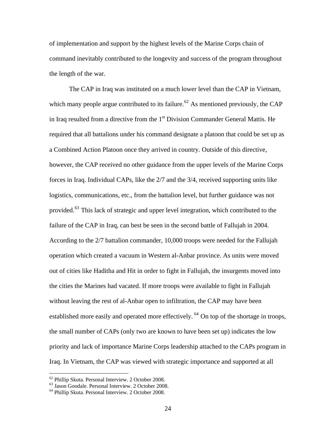of implementation and support by the highest levels of the Marine Corps chain of command inevitably contributed to the longevity and success of the program throughout the length of the war.

 The CAP in Iraq was instituted on a much lower level than the CAP in Vietnam, which many people argue contributed to its failure.<sup>[62](#page-26-0)</sup> As mentioned previously, the CAP in Iraq resulted from a directive from the  $1<sup>st</sup>$  Division Commander General Mattis. He required that all battalions under his command designate a platoon that could be set up as a Combined Action Platoon once they arrived in country. Outside of this directive, however, the CAP received no other guidance from the upper levels of the Marine Corps forces in Iraq. Individual CAPs, like the 2/7 and the 3/4, received supporting units like logistics, communications, etc., from the battalion level, but further guidance was not provided.<sup>[63](#page-26-1)</sup> This lack of strategic and upper level integration, which contributed to the failure of the CAP in Iraq, can best be seen in the second battle of Fallujah in 2004. According to the 2/7 battalion commander, 10,000 troops were needed for the Fallujah operation which created a vacuum in Western al-Anbar province. As units were moved out of cities like Haditha and Hit in order to fight in Fallujah, the insurgents moved into the cities the Marines had vacated. If more troops were available to fight in Fallujah without leaving the rest of al-Anbar open to infiltration, the CAP may have been established more easily and operated more effectively.<sup>[64](#page-26-2)</sup> On top of the shortage in troops, the small number of CAPs (only two are known to have been set up) indicates the low priority and lack of importance Marine Corps leadership attached to the CAPs program in Iraq. In Vietnam, the CAP was viewed with strategic importance and supported at all

<span id="page-26-0"></span><sup>62</sup> Phillip Skuta. Personal Interview. 2 October 2008.

<span id="page-26-1"></span><sup>63</sup> Jason Goodale. Personal Interview. 2 October 2008.

<span id="page-26-2"></span><sup>64</sup> Phillip Skuta. Personal Interview. 2 October 2008.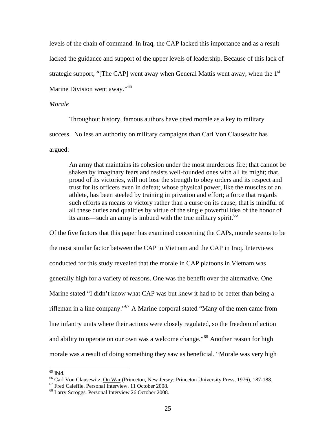levels of the chain of command. In Iraq, the CAP lacked this importance and as a result lacked the guidance and support of the upper levels of leadership. Because of this lack of strategic support, "[The CAP] went away when General Mattis went away, when the 1<sup>st</sup> Marine Division went away."<sup>[65](#page-27-0)</sup>

#### *Morale*

 Throughout history, famous authors have cited morale as a key to military success. No less an authority on military campaigns than Carl Von Clausewitz has argued:

An army that maintains its cohesion under the most murderous fire; that cannot be shaken by imaginary fears and resists well-founded ones with all its might; that, proud of its victories, will not lose the strength to obey orders and its respect and trust for its officers even in defeat; whose physical power, like the muscles of an athlete, has been steeled by training in privation and effort; a force that regards such efforts as means to victory rather than a curse on its cause; that is mindful of all these duties and qualities by virtue of the single powerful idea of the honor of its arms—such an army is imbued with the true military spirit.<sup>[66](#page-27-1)</sup>

Of the five factors that this paper has examined concerning the CAPs, morale seems to be the most similar factor between the CAP in Vietnam and the CAP in Iraq. Interviews conducted for this study revealed that the morale in CAP platoons in Vietnam was generally high for a variety of reasons. One was the benefit over the alternative. One Marine stated "I didn't know what CAP was but knew it had to be better than being a rifleman in a line company."[67](#page-27-2) A Marine corporal stated "Many of the men came from line infantry units where their actions were closely regulated, so the freedom of action and ability to operate on our own was a welcome change."<sup>[68](#page-27-3)</sup> Another reason for high morale was a result of doing something they saw as beneficial. "Morale was very high

<span id="page-27-0"></span> $65$  Ibid.

<span id="page-27-1"></span><sup>&</sup>lt;sup>66</sup> Carl Von Clausewitz, <u>On War</u> (Princeton, New Jersey: Princeton University Press, 1976), 187-188. <sup>67</sup> Fred Caleffie. Personal Interview. 11 October 2008.

<span id="page-27-3"></span><span id="page-27-2"></span><sup>68</sup> Larry Scroggs. Personal Interview 26 October 2008.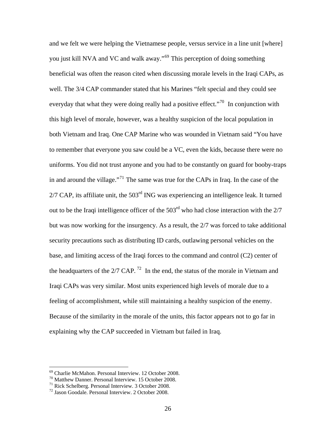and we felt we were helping the Vietnamese people, versus service in a line unit [where] you just kill NVA and VC and walk away."[69](#page-28-0) This perception of doing something beneficial was often the reason cited when discussing morale levels in the Iraqi CAPs, as well. The 3/4 CAP commander stated that his Marines "felt special and they could see everyday that what they were doing really had a positive effect.<sup> $70$ </sup> In conjunction with this high level of morale, however, was a healthy suspicion of the local population in both Vietnam and Iraq. One CAP Marine who was wounded in Vietnam said "You have to remember that everyone you saw could be a VC, even the kids, because there were no uniforms. You did not trust anyone and you had to be constantly on guard for booby-traps in and around the village."<sup>[71](#page-28-2)</sup> The same was true for the CAPs in Iraq. In the case of the  $2/7$  CAP, its affiliate unit, the  $503<sup>rd</sup>$  ING was experiencing an intelligence leak. It turned out to be the Iraqi intelligence officer of the  $503<sup>rd</sup>$  who had close interaction with the  $2/7$ but was now working for the insurgency. As a result, the 2/7 was forced to take additional security precautions such as distributing ID cards, outlawing personal vehicles on the base, and limiting access of the Iraqi forces to the command and control (C2) center of the headquarters of the  $2/7$  CAP.<sup>[72](#page-28-3)</sup> In the end, the status of the morale in Vietnam and Iraqi CAPs was very similar. Most units experienced high levels of morale due to a feeling of accomplishment, while still maintaining a healthy suspicion of the enemy. Because of the similarity in the morale of the units, this factor appears not to go far in explaining why the CAP succeeded in Vietnam but failed in Iraq.

<sup>69</sup> Charlie McMahon. Personal Interview. 12 October 2008.

<span id="page-28-1"></span><span id="page-28-0"></span><sup>70</sup> Matthew Danner. Personal Interview. 15 October 2008.

<sup>71</sup> Rick Schelberg. Personal Interview. 3 October 2008.

<span id="page-28-3"></span><span id="page-28-2"></span><sup>72</sup> Jason Goodale. Personal Interview. 2 October 2008.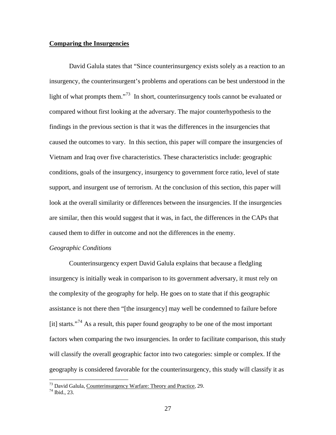## **Comparing the Insurgencies**

David Galula states that "Since counterinsurgency exists solely as a reaction to an insurgency, the counterinsurgent's problems and operations can be best understood in the light of what prompts them."<sup>[73](#page-29-0)</sup> In short, counterinsurgency tools cannot be evaluated or compared without first looking at the adversary. The major counterhypothesis to the findings in the previous section is that it was the differences in the insurgencies that caused the outcomes to vary. In this section, this paper will compare the insurgencies of Vietnam and Iraq over five characteristics. These characteristics include: geographic conditions, goals of the insurgency, insurgency to government force ratio, level of state support, and insurgent use of terrorism. At the conclusion of this section, this paper will look at the overall similarity or differences between the insurgencies. If the insurgencies are similar, then this would suggest that it was, in fact, the differences in the CAPs that caused them to differ in outcome and not the differences in the enemy.

#### *Geographic Conditions*

 Counterinsurgency expert David Galula explains that because a fledgling insurgency is initially weak in comparison to its government adversary, it must rely on the complexity of the geography for help. He goes on to state that if this geographic assistance is not there then "[the insurgency] may well be condemned to failure before [it] starts."<sup>[74](#page-29-1)</sup> As a result, this paper found geography to be one of the most important factors when comparing the two insurgencies. In order to facilitate comparison, this study will classify the overall geographic factor into two categories: simple or complex. If the geography is considered favorable for the counterinsurgency, this study will classify it as

<span id="page-29-1"></span><span id="page-29-0"></span> $^{73}$  David Galula, Counterinsurgency Warfare: Theory and Practice, 29.  $^{74}$  Ibid., 23.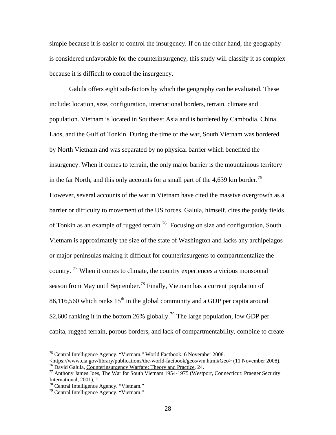simple because it is easier to control the insurgency. If on the other hand, the geography is considered unfavorable for the counterinsurgency, this study will classify it as complex because it is difficult to control the insurgency.

 Galula offers eight sub-factors by which the geography can be evaluated. These include: location, size, configuration, international borders, terrain, climate and population. Vietnam is located in Southeast Asia and is bordered by Cambodia, China, Laos, and the Gulf of Tonkin. During the time of the war, South Vietnam was bordered by North Vietnam and was separated by no physical barrier which benefited the insurgency. When it comes to terrain, the only major barrier is the mountainous territory in the far North, and this only accounts for a small part of the 4,639 km border.<sup>[75](#page-30-0)</sup> However, several accounts of the war in Vietnam have cited the massive overgrowth as a barrier or difficulty to movement of the US forces. Galula, himself, cites the paddy fields of Tonkin as an example of rugged terrain.<sup>[76](#page-30-1)</sup> Focusing on size and configuration, South Vietnam is approximately the size of the state of Washington and lacks any archipelagos or major peninsulas making it difficult for counterinsurgents to compartmentalize the country. [77](#page-30-2) When it comes to climate, the country experiences a vicious monsoonal season from May until September.<sup>[78](#page-30-3)</sup> Finally, Vietnam has a current population of 86,116,560 which ranks  $15<sup>th</sup>$  in the global community and a GDP per capita around \$2,600 ranking it in the bottom 26% globally.<sup>[79](#page-30-4)</sup> The large population, low GDP per capita, rugged terrain, porous borders, and lack of compartmentability, combine to create

<span id="page-30-0"></span><sup>&</sup>lt;sup>75</sup> Central Intelligence Agency. "Vietnam." <u>World Factbook</u>. 6 November 2008.<br><https://www.cia.gov/library/publications/the-world-factbook/geos/vm.html#Geo> (11 November 2008).

<span id="page-30-1"></span> $^{76}$  David Galula, Counterinsurgency Warfare: Theory and Practice, 24.<br>
<sup>77</sup> Anthony James Joes, The War for South Vietnam 1954-1975 (Westport, Connecticut: Praeger Security

<span id="page-30-2"></span>International, 2001), 1.

<span id="page-30-3"></span><sup>78</sup> Central Intelligence Agency. "Vietnam."

<span id="page-30-4"></span><sup>79</sup> Central Intelligence Agency. "Vietnam."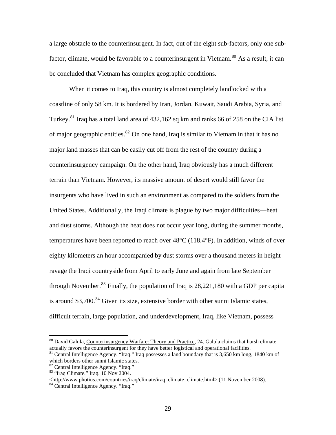a large obstacle to the counterinsurgent. In fact, out of the eight sub-factors, only one sub-factor, climate, would be favorable to a counterinsurgent in Vietnam.<sup>[80](#page-31-0)</sup> As a result, it can be concluded that Vietnam has complex geographic conditions.

 When it comes to Iraq, this country is almost completely landlocked with a coastline of only 58 km. It is bordered by Iran, Jordan, Kuwait, Saudi Arabia, Syria, and Turkey.<sup>[81](#page-31-1)</sup> Iraq has a total land area of 432,162 sq km and ranks 66 of 258 on the CIA list of major geographic entities.<sup>[82](#page-31-2)</sup> On one hand, Iraq is similar to Vietnam in that it has no major land masses that can be easily cut off from the rest of the country during a counterinsurgency campaign. On the other hand, Iraq obviously has a much different terrain than Vietnam. However, its massive amount of desert would still favor the insurgents who have lived in such an environment as compared to the soldiers from the United States. Additionally, the Iraqi climate is plague by two major difficulties—heat and dust storms. Although the heat does not occur year long, during the summer months, temperatures have been reported to reach over 48°C (118.4°F). In addition, winds of over eighty kilometers an hour accompanied by dust storms over a thousand meters in height ravage the Iraqi countryside from April to early June and again from late September through November.<sup>[83](#page-31-3)</sup> Finally, the population of Iraq is  $28,221,180$  with a GDP per capita is around  $$3,700$ .<sup>[84](#page-31-4)</sup> Given its size, extensive border with other sunni Islamic states, difficult terrain, large population, and underdevelopment, Iraq, like Vietnam, possess

 $\overline{a}$ 

<span id="page-31-4"></span><http://www.photius.com/countries/iraq/climate/iraq\_climate\_climate.html> (11 November 2008). 84 Central Intelligence Agency. "Iraq."

<span id="page-31-0"></span><sup>&</sup>lt;sup>80</sup> David Galula, Counterinsurgency Warfare: Theory and Practice, 24. Galula claims that harsh climate actually favors the counterinsurgent for they have better logistical and operational facilities.

<span id="page-31-1"></span><sup>&</sup>lt;sup>81</sup> Central Intelligence Agency. "Iraq." Iraq possesses a land boundary that is 3,650 km long, 1840 km of which borders other sunni Islamic states.

<sup>&</sup>lt;sup>82</sup> Central Intelligence Agency. "Iraq."

<span id="page-31-3"></span><span id="page-31-2"></span><sup>83 &</sup>quot;Iraq Climate." Iraq. 10 Nov 2004.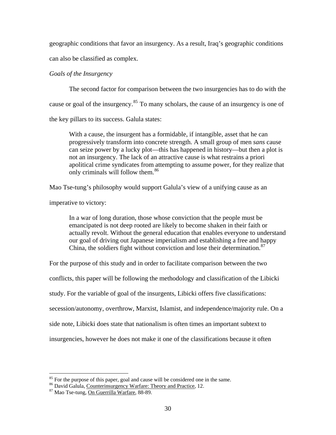geographic conditions that favor an insurgency. As a result, Iraq's geographic conditions

can also be classified as complex.

#### *Goals of the Insurgency*

 The second factor for comparison between the two insurgencies has to do with the cause or goal of the insurgency.<sup>[85](#page-32-0)</sup> To many scholars, the cause of an insurgency is one of the key pillars to its success. Galula states:

With a cause, the insurgent has a formidable, if intangible, asset that he can progressively transform into concrete strength. A small group of men *sans* cause can seize power by a lucky plot—this has happened in history—but then a plot is not an insurgency. The lack of an attractive cause is what restrains a priori apolitical crime syndicates from attempting to assume power, for they realize that only criminals will follow them.<sup>[86](#page-32-1)</sup>

Mao Tse-tung's philosophy would support Galula's view of a unifying cause as an

imperative to victory:

In a war of long duration, those whose conviction that the people must be emancipated is not deep rooted are likely to become shaken in their faith or actually revolt. Without the general education that enables everyone to understand our goal of driving out Japanese imperialism and establishing a free and happy China, the soldiers fight without conviction and lose their determination.<sup>[87](#page-32-2)</sup>

For the purpose of this study and in order to facilitate comparison between the two

conflicts, this paper will be following the methodology and classification of the Libicki

study. For the variable of goal of the insurgents, Libicki offers five classifications:

secession/autonomy, overthrow, Marxist, Islamist, and independence/majority rule. On a

side note, Libicki does state that nationalism is often times an important subtext to

insurgencies, however he does not make it one of the classifications because it often

<sup>&</sup>lt;sup>85</sup> For the purpose of this paper, goal and cause will be considered one in the same.

<span id="page-32-1"></span><span id="page-32-0"></span><sup>&</sup>lt;sup>86</sup> David Galula, <u>Counterinsurgency Warfare: Theory and Practice</u>, 12.<br><sup>87</sup> Mao Tse-tung, <u>On Guerrilla Warfare</u>, 88-89.

<span id="page-32-2"></span>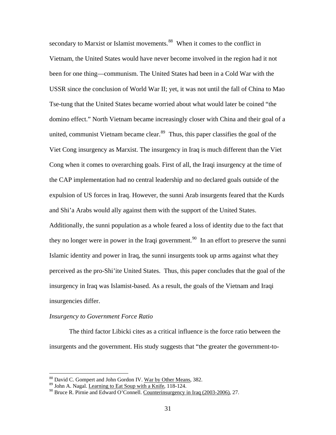secondary to Marxist or Islamist movements.<sup>[88](#page-33-0)</sup> When it comes to the conflict in Vietnam, the United States would have never become involved in the region had it not been for one thing—communism. The United States had been in a Cold War with the USSR since the conclusion of World War II; yet, it was not until the fall of China to Mao Tse-tung that the United States became worried about what would later be coined "the domino effect." North Vietnam became increasingly closer with China and their goal of a united, communist Vietnam became clear. $89$  Thus, this paper classifies the goal of the Viet Cong insurgency as Marxist. The insurgency in Iraq is much different than the Viet Cong when it comes to overarching goals. First of all, the Iraqi insurgency at the time of the CAP implementation had no central leadership and no declared goals outside of the expulsion of US forces in Iraq. However, the sunni Arab insurgents feared that the Kurds and Shi'a Arabs would ally against them with the support of the United States. Additionally, the sunni population as a whole feared a loss of identity due to the fact that they no longer were in power in the Iraqi government.<sup>[90](#page-33-2)</sup> In an effort to preserve the sunni Islamic identity and power in Iraq, the sunni insurgents took up arms against what they perceived as the pro-Shi'ite United States. Thus, this paper concludes that the goal of the insurgency in Iraq was Islamist-based. As a result, the goals of the Vietnam and Iraqi insurgencies differ.

#### *Insurgency to Government Force Ratio*

 $\overline{a}$ 

 The third factor Libicki cites as a critical influence is the force ratio between the insurgents and the government. His study suggests that "the greater the government-to-

<sup>88</sup> David C. Gompert and John Gordon IV. War by Other Means, 382.

<span id="page-33-1"></span><span id="page-33-0"></span><sup>&</sup>lt;sup>89</sup> John A. Nagal. Learning to Eat Soup with a Knife, 118-124.

<span id="page-33-2"></span><sup>90</sup> Bruce R. Pirnie and Edward O'Connell. Counterinsurgency in Iraq (2003-2006), 27.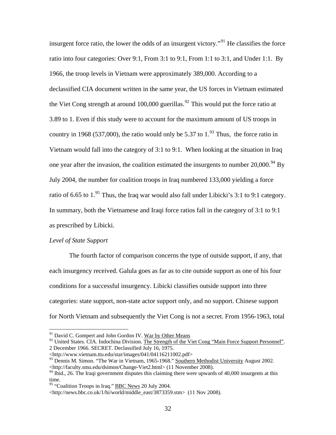insurgent force ratio, the lower the odds of an insurgent victory."<sup>[91](#page-34-0)</sup> He classifies the force ratio into four categories: Over 9:1, From 3:1 to 9:1, From 1:1 to 3:1, and Under 1:1. By 1966, the troop levels in Vietnam were approximately 389,000. According to a declassified CIA document written in the same year, the US forces in Vietnam estimated the Viet Cong strength at around 100,000 guerillas.<sup>[92](#page-34-1)</sup> This would put the force ratio at 3.89 to 1. Even if this study were to account for the maximum amount of US troops in country in 1968 (537,000), the ratio would only be 5.37 to  $1.^{93}$  $1.^{93}$  $1.^{93}$  Thus, the force ratio in Vietnam would fall into the category of 3:1 to 9:1. When looking at the situation in Iraq one year after the invasion, the coalition estimated the insurgents to number  $20,000$ .<sup>[94](#page-34-3)</sup> By July 2004, the number for coalition troops in Iraq numbered 133,000 yielding a force ratio of 6.65 to 1.<sup>[95](#page-34-4)</sup> Thus, the Iraq war would also fall under Libicki's 3:1 to 9:1 category. In summary, both the Vietnamese and Iraqi force ratios fall in the category of 3:1 to 9:1 as prescribed by Libicki.

#### *Level of State Support*

 $\overline{a}$ 

 The fourth factor of comparison concerns the type of outside support, if any, that each insurgency received. Galula goes as far as to cite outside support as one of his four conditions for a successful insurgency. Libicki classifies outside support into three categories: state support, non-state actor support only, and no support. Chinese support for North Vietnam and subsequently the Viet Cong is not a secret. From 1956-1963, total

<sup>&</sup>lt;sup>91</sup> David C. Gompert and John Gordon IV. War by Other Means

<span id="page-34-1"></span><span id="page-34-0"></span><sup>&</sup>lt;sup>92</sup> United States. CIA. Indochina Division. The Strength of the Viet Cong "Main Force Support Personnel". 2 December 1966. SECRET. Declassified July 16, 1975.

<sup>&</sup>lt;http://www.vietnam.ttu.edu/star/images/041/04116211002.pdf>

<span id="page-34-2"></span><sup>&</sup>lt;sup>93</sup> Dennis M. Simon. "The War in Vietnam, 1965-1968." Southern Methodist University August 2002. <http://faculty.smu.edu/dsimon/Change-Viet2.html> (11 November 2008).

<span id="page-34-3"></span><sup>&</sup>lt;sup>94</sup> Ibid., 26. The Iraqi government disputes this claiming there were upwards of 40,000 insurgents at this time.

<span id="page-34-4"></span><sup>&</sup>lt;sup>95</sup> "Coalition Troops in Iraq." **BBC News** 20 July 2004.

<sup>&</sup>lt;http://news.bbc.co.uk/1/hi/world/middle\_east/3873359.stm> (11 Nov 2008).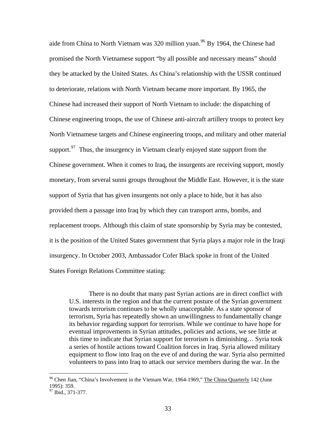aide from China to North Vietnam was 320 million yuan.<sup>[96](#page-35-0)</sup> By 1964, the Chinese had promised the North Vietnamese support "by all possible and necessary means" should they be attacked by the United States. As China's relationship with the USSR continued to deteriorate, relations with North Vietnam became more important. By 1965, the Chinese had increased their support of North Vietnam to include: the dispatching of Chinese engineering troops, the use of Chinese anti-aircraft artillery troops to protect key North Vietnamese targets and Chinese engineering troops, and military and other material support. $97$  Thus, the insurgency in Vietnam clearly enjoyed state support from the Chinese government. When it comes to Iraq, the insurgents are receiving support, mostly monetary, from several sunni groups throughout the Middle East. However, it is the state support of Syria that has given insurgents not only a place to hide, but it has also provided them a passage into Iraq by which they can transport arms, bombs, and replacement troops. Although this claim of state sponsorship by Syria may be contested, it is the position of the United States government that Syria plays a major role in the Iraqi insurgency. In October 2003, Ambassador Cofer Black spoke in front of the United States Foreign Relations Committee stating:

There is no doubt that many past Syrian actions are in direct conflict with U.S. interests in the region and that the current posture of the Syrian government towards terrorism continues to be wholly unacceptable. As a state sponsor of terrorism, Syria has repeatedly shown an unwillingness to fundamentally change its behavior regarding support for terrorism. While we continue to have hope for eventual improvements in Syrian attitudes, policies and actions, we see little at this time to indicate that Syrian support for terrorism is diminishing… Syria took a series of hostile actions toward Coalition forces in Iraq. Syria allowed military equipment to flow into Iraq on the eve of and during the war. Syria also permitted volunteers to pass into Iraq to attack our service members during the war. In the

<span id="page-35-0"></span><sup>&</sup>lt;sup>96</sup> Chen Jian, "China's Involvement in the Vietnam War, 1964-1969," The China Quarterly 142 (June 1995): 359.

<span id="page-35-1"></span><sup>&</sup>lt;sup>97</sup> Ibid., 371-377.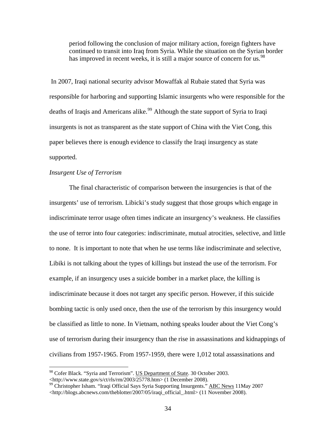period following the conclusion of major military action, foreign fighters have continued to transit into Iraq from Syria. While the situation on the Syrian border has improved in recent weeks, it is still a major source of concern for us.<sup>[98](#page-36-0)</sup>

 In 2007, Iraqi national security advisor Mowaffak al Rubaie stated that Syria was responsible for harboring and supporting Islamic insurgents who were responsible for the deaths of Iraqis and Americans alike.<sup>[99](#page-36-1)</sup> Although the state support of Syria to Iraqi insurgents is not as transparent as the state support of China with the Viet Cong, this paper believes there is enough evidence to classify the Iraqi insurgency as state supported.

#### *Insurgent Use of Terrorism*

 $\overline{a}$ 

 The final characteristic of comparison between the insurgencies is that of the insurgents' use of terrorism. Libicki's study suggest that those groups which engage in indiscriminate terror usage often times indicate an insurgency's weakness. He classifies the use of terror into four categories: indiscriminate, mutual atrocities, selective, and little to none. It is important to note that when he use terms like indiscriminate and selective, Libiki is not talking about the types of killings but instead the use of the terrorism. For example, if an insurgency uses a suicide bomber in a market place, the killing is indiscriminate because it does not target any specific person. However, if this suicide bombing tactic is only used once, then the use of the terrorism by this insurgency would be classified as little to none. In Vietnam, nothing speaks louder about the Viet Cong's use of terrorism during their insurgency than the rise in assassinations and kidnappings of civilians from 1957-1965. From 1957-1959, there were 1,012 total assassinations and

<span id="page-36-0"></span><sup>&</sup>lt;sup>98</sup> Cofer Black. "Syria and Terrorism". <u>US Department of State</u>. 30 October 2003.<br>
<http://www.state.gov/s/ct/rls/rm/2003/25778.htm> (1 December 2008).

<span id="page-36-1"></span><sup>&</sup>lt;sup>99</sup> Christopher Isham. "Iraqi Official Says Syria Supporting Insurgents." ABC News 11May 2007 <http://blogs.abcnews.com/theblotter/2007/05/iraqi\_official\_.html> (11 November 2008).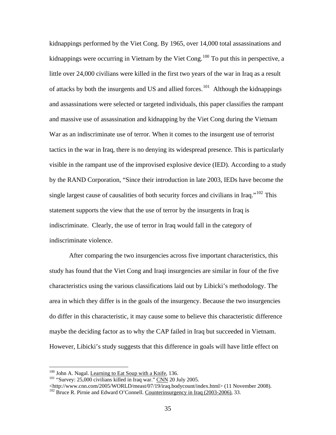kidnappings performed by the Viet Cong. By 1965, over 14,000 total assassinations and kidnappings were occurring in Vietnam by the Viet Cong.<sup>[100](#page-37-0)</sup> To put this in perspective, a little over 24,000 civilians were killed in the first two years of the war in Iraq as a result of attacks by both the insurgents and US and allied forces.<sup>[101](#page-37-1)</sup> Although the kidnappings and assassinations were selected or targeted individuals, this paper classifies the rampant and massive use of assassination and kidnapping by the Viet Cong during the Vietnam War as an indiscriminate use of terror. When it comes to the insurgent use of terrorist tactics in the war in Iraq, there is no denying its widespread presence. This is particularly visible in the rampant use of the improvised explosive device (IED). According to a study by the RAND Corporation, "Since their introduction in late 2003, IEDs have become the single largest cause of causalities of both security forces and civilians in Iraq."<sup>[102](#page-37-2)</sup> This statement supports the view that the use of terror by the insurgents in Iraq is indiscriminate. Clearly, the use of terror in Iraq would fall in the category of indiscriminate violence.

 After comparing the two insurgencies across five important characteristics, this study has found that the Viet Cong and Iraqi insurgencies are similar in four of the five characteristics using the various classifications laid out by Libicki's methodology. The area in which they differ is in the goals of the insurgency. Because the two insurgencies do differ in this characteristic, it may cause some to believe this characteristic difference maybe the deciding factor as to why the CAP failed in Iraq but succeeded in Vietnam. However, Libicki's study suggests that this difference in goals will have little effect on

<span id="page-37-0"></span><sup>&</sup>lt;sup>100</sup> John A. Nagal. <u>Learning to Eat Soup with a Knife</u>, 136.<br><sup>101</sup> "Survey: 25,000 civilians killed in Iraq war." CNN 20 July 2005.

<span id="page-37-2"></span><span id="page-37-1"></span><sup>&</sup>lt;http://www.cnn.com/2005/WORLD/meast/07/19/iraq.bodycount/index.html> (11 November 2008). 102 Bruce R. Pirnie and Edward O'Connell. Counterinsurgency in Iraq (2003-2006), 33.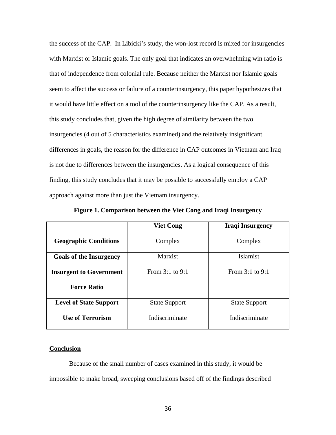the success of the CAP. In Libicki's study, the won-lost record is mixed for insurgencies with Marxist or Islamic goals. The only goal that indicates an overwhelming win ratio is that of independence from colonial rule. Because neither the Marxist nor Islamic goals seem to affect the success or failure of a counterinsurgency, this paper hypothesizes that it would have little effect on a tool of the counterinsurgency like the CAP. As a result, this study concludes that, given the high degree of similarity between the two insurgencies (4 out of 5 characteristics examined) and the relatively insignificant differences in goals, the reason for the difference in CAP outcomes in Vietnam and Iraq is not due to differences between the insurgencies. As a logical consequence of this finding, this study concludes that it may be possible to successfully employ a CAP approach against more than just the Vietnam insurgency.

|                                | <b>Viet Cong</b>     | <b>Iraqi Insurgency</b> |
|--------------------------------|----------------------|-------------------------|
| <b>Geographic Conditions</b>   | Complex              | Complex                 |
| <b>Goals of the Insurgency</b> | Marxist              | <b>Islamist</b>         |
| <b>Insurgent to Government</b> | From $3:1$ to $9:1$  | From $3:1$ to $9:1$     |
| <b>Force Ratio</b>             |                      |                         |
| <b>Level of State Support</b>  | <b>State Support</b> | <b>State Support</b>    |
| <b>Use of Terrorism</b>        | Indiscriminate       | Indiscriminate          |

**Figure 1. Comparison between the Viet Cong and Iraqi Insurgency** 

# **Conclusion**

 Because of the small number of cases examined in this study, it would be impossible to make broad, sweeping conclusions based off of the findings described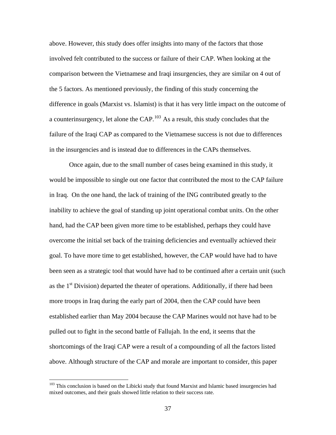above. However, this study does offer insights into many of the factors that those involved felt contributed to the success or failure of their CAP. When looking at the comparison between the Vietnamese and Iraqi insurgencies, they are similar on 4 out of the 5 factors. As mentioned previously, the finding of this study concerning the difference in goals (Marxist vs. Islamist) is that it has very little impact on the outcome of a counterinsurgency, let alone the  $CAP<sup>103</sup>$  $CAP<sup>103</sup>$  $CAP<sup>103</sup>$  As a result, this study concludes that the failure of the Iraqi CAP as compared to the Vietnamese success is not due to differences in the insurgencies and is instead due to differences in the CAPs themselves.

 Once again, due to the small number of cases being examined in this study, it would be impossible to single out one factor that contributed the most to the CAP failure in Iraq. On the one hand, the lack of training of the ING contributed greatly to the inability to achieve the goal of standing up joint operational combat units. On the other hand, had the CAP been given more time to be established, perhaps they could have overcome the initial set back of the training deficiencies and eventually achieved their goal. To have more time to get established, however, the CAP would have had to have been seen as a strategic tool that would have had to be continued after a certain unit (such as the  $1<sup>st</sup>$  Division) departed the theater of operations. Additionally, if there had been more troops in Iraq during the early part of 2004, then the CAP could have been established earlier than May 2004 because the CAP Marines would not have had to be pulled out to fight in the second battle of Fallujah. In the end, it seems that the shortcomings of the Iraqi CAP were a result of a compounding of all the factors listed above. Although structure of the CAP and morale are important to consider, this paper

<span id="page-39-0"></span><sup>&</sup>lt;sup>103</sup> This conclusion is based on the Libicki study that found Marxist and Islamic based insurgencies had mixed outcomes, and their goals showed little relation to their success rate.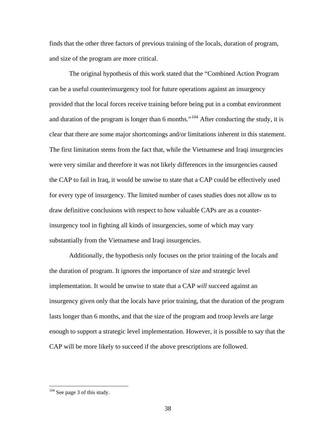finds that the other three factors of previous training of the locals, duration of program, and size of the program are more critical.

 The original hypothesis of this work stated that the "Combined Action Program can be a useful counterinsurgency tool for future operations against an insurgency provided that the local forces receive training before being put in a combat environment and duration of the program is longer than 6 months."[104](#page-40-0) After conducting the study, it is clear that there are some major shortcomings and/or limitations inherent in this statement. The first limitation stems from the fact that, while the Vietnamese and Iraqi insurgencies were very similar and therefore it was not likely differences in the insurgencies caused the CAP to fail in Iraq, it would be unwise to state that a CAP could be effectively used for every type of insurgency. The limited number of cases studies does not allow us to draw definitive conclusions with respect to how valuable CAPs are as a counterinsurgency tool in fighting all kinds of insurgencies, some of which may vary substantially from the Vietnamese and Iraqi insurgencies.

Additionally, the hypothesis only focuses on the prior training of the locals and the duration of program. It ignores the importance of size and strategic level implementation. It would be unwise to state that a CAP *will* succeed against an insurgency given only that the locals have prior training, that the duration of the program lasts longer than 6 months, and that the size of the program and troop levels are large enough to support a strategic level implementation. However, it is possible to say that the CAP will be more likely to succeed if the above prescriptions are followed.

<span id="page-40-0"></span> $104$  See page 3 of this study.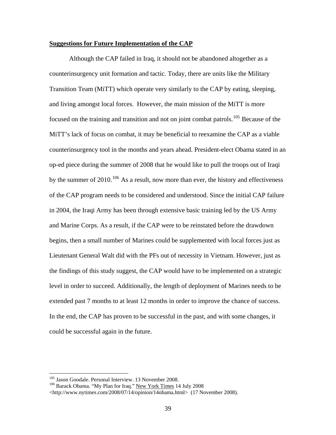#### **Suggestions for Future Implementation of the CAP**

 Although the CAP failed in Iraq, it should not be abandoned altogether as a counterinsurgency unit formation and tactic. Today, there are units like the Military Transition Team (MiTT) which operate very similarly to the CAP by eating, sleeping, and living amongst local forces. However, the main mission of the MiTT is more focused on the training and transition and not on joint combat patrols.<sup>[105](#page-41-0)</sup> Because of the MiTT's lack of focus on combat, it may be beneficial to reexamine the CAP as a viable counterinsurgency tool in the months and years ahead. President-elect Obama stated in an op-ed piece during the summer of 2008 that he would like to pull the troops out of Iraqi by the summer of 2010.<sup>[106](#page-41-1)</sup> As a result, now more than ever, the history and effectiveness of the CAP program needs to be considered and understood. Since the initial CAP failure in 2004, the Iraqi Army has been through extensive basic training led by the US Army and Marine Corps. As a result, if the CAP were to be reinstated before the drawdown begins, then a small number of Marines could be supplemented with local forces just as Lieutenant General Walt did with the PFs out of necessity in Vietnam. However, just as the findings of this study suggest, the CAP would have to be implemented on a strategic level in order to succeed. Additionally, the length of deployment of Marines needs to be extended past 7 months to at least 12 months in order to improve the chance of success. In the end, the CAP has proven to be successful in the past, and with some changes, it could be successful again in the future.

<span id="page-41-1"></span><span id="page-41-0"></span><sup>&</sup>lt;sup>105</sup> Jason Goodale. Personal Interview. 13 November 2008.<br><sup>106</sup> Barack Obama. "My Plan for Iraq." <u>New York Times</u> 14 July 2008

<sup>&</sup>lt;http://www.nytimes.com/2008/07/14/opinion/14obama.html> (17 November 2008).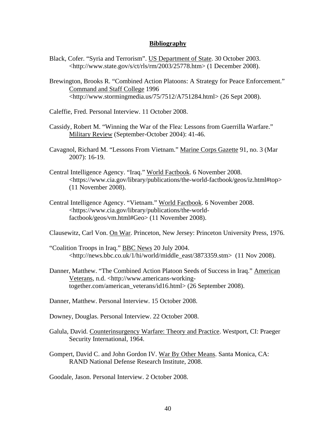#### **Bibliography**

- Black, Cofer. "Syria and Terrorism". US Department of State. 30 October 2003. <http://www.state.gov/s/ct/rls/rm/2003/25778.htm> (1 December 2008).
- Brewington, Brooks R. "Combined Action Platoons: A Strategy for Peace Enforcement." Command and Staff College 1996 <http://www.stormingmedia.us/75/7512/A751284.html> (26 Sept 2008).
- Caleffie, Fred. Personal Interview. 11 October 2008.
- Cassidy, Robert M. "Winning the War of the Flea: Lessons from Guerrilla Warfare." Military Review (September-October 2004): 41-46.
- Cavagnol, Richard M. "Lessons From Vietnam." Marine Corps Gazette 91, no. 3 (Mar 2007): 16-19.
- Central Intelligence Agency. "Iraq." World Factbook. 6 November 2008. <https://www.cia.gov/library/publications/the-world-factbook/geos/iz.html#top> (11 November 2008).
- Central Intelligence Agency. "Vietnam." World Factbook. 6 November 2008. <https://www.cia.gov/library/publications/the-worldfactbook/geos/vm.html#Geo> (11 November 2008).
- Clausewitz, Carl Von. On War. Princeton, New Jersey: Princeton University Press, 1976.
- "Coalition Troops in Iraq." BBC News 20 July 2004. <http://news.bbc.co.uk/1/hi/world/middle\_east/3873359.stm> (11 Nov 2008).
- Danner, Matthew. "The Combined Action Platoon Seeds of Success in Iraq." American Veterans, n.d. <http://www.americans-workingtogether.com/american\_veterans/id16.html> (26 September 2008).
- Danner, Matthew. Personal Interview. 15 October 2008.
- Downey, Douglas. Personal Interview. 22 October 2008.
- Galula, David. Counterinsurgency Warfare: Theory and Practice. Westport, CI: Praeger Security International, 1964.
- Gompert, David C. and John Gordon IV. War By Other Means. Santa Monica, CA: RAND National Defense Research Institute, 2008.

Goodale, Jason. Personal Interview. 2 October 2008.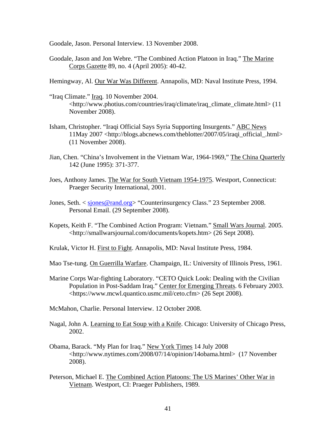Goodale, Jason. Personal Interview. 13 November 2008.

Goodale, Jason and Jon Webre. "The Combined Action Platoon in Iraq." The Marine Corps Gazette 89, no. 4 (April 2005): 40-42.

Hemingway, Al. Our War Was Different. Annapolis, MD: Naval Institute Press, 1994.

- "Iraq Climate." Iraq. 10 November 2004. <http://www.photius.com/countries/iraq/climate/iraq\_climate\_climate.html> (11 November 2008).
- Isham, Christopher. "Iraqi Official Says Syria Supporting Insurgents." ABC News 11May 2007 <http://blogs.abcnews.com/theblotter/2007/05/iraqi\_official\_.html> (11 November 2008).
- Jian, Chen. "China's Involvement in the Vietnam War, 1964-1969," The China Quarterly 142 (June 1995): 371-377.
- Joes, Anthony James. The War for South Vietnam 1954-1975. Westport, Connecticut: Praeger Security International, 2001.
- Jones, Seth. < [sjones@rand.org](mailto:sjones@rand.org)> "Counterinsurgency Class." 23 September 2008. Personal Email. (29 September 2008).
- Kopets, Keith F. "The Combined Action Program: Vietnam." Small Wars Journal. 2005. <http://smallwarsjournal.com/documents/kopets.htm> (26 Sept 2008).
- Krulak, Victor H. First to Fight. Annapolis, MD: Naval Institute Press, 1984.

Mao Tse-tung. On Guerrilla Warfare. Champaign, IL: University of Illinois Press, 1961.

- Marine Corps War-fighting Laboratory. "CETO Quick Look: Dealing with the Civilian Population in Post-Saddam Iraq." Center for Emerging Threats. 6 February 2003. <https://www.mcwl.quantico.usmc.mil/ceto.cfm> (26 Sept 2008).
- McMahon, Charlie. Personal Interview. 12 October 2008.
- Nagal, John A. Learning to Eat Soup with a Knife. Chicago: University of Chicago Press, 2002.
- Obama, Barack. "My Plan for Iraq." New York Times 14 July 2008 <http://www.nytimes.com/2008/07/14/opinion/14obama.html> (17 November 2008).
- Peterson, Michael E. The Combined Action Platoons: The US Marines' Other War in Vietnam. Westport, CI: Praeger Publishers, 1989.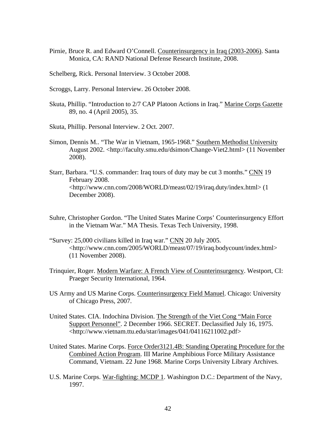- Pirnie, Bruce R. and Edward O'Connell. Counterinsurgency in Iraq (2003-2006). Santa Monica, CA: RAND National Defense Research Institute, 2008.
- Schelberg, Rick. Personal Interview. 3 October 2008.
- Scroggs, Larry. Personal Interview. 26 October 2008.
- Skuta, Phillip. "Introduction to 2/7 CAP Platoon Actions in Iraq." Marine Corps Gazette 89, no. 4 (April 2005), 35.
- Skuta, Phillip. Personal Interview. 2 Oct. 2007.
- Simon, Dennis M.. "The War in Vietnam, 1965-1968." Southern Methodist University August 2002. <http://faculty.smu.edu/dsimon/Change-Viet2.html> (11 November 2008).
- Starr, Barbara. "U.S. commander: Iraq tours of duty may be cut 3 months." CNN 19 February 2008. <http://www.cnn.com/2008/WORLD/meast/02/19/iraq.duty/index.html> (1 December 2008).
- Suhre, Christopher Gordon. "The United States Marine Corps' Counterinsurgency Effort in the Vietnam War." MA Thesis. Texas Tech University, 1998.
- "Survey: 25,000 civilians killed in Iraq war." CNN 20 July 2005. <http://www.cnn.com/2005/WORLD/meast/07/19/iraq.bodycount/index.html> (11 November 2008).
- Trinquier, Roger. Modern Warfare: A French View of Counterinsurgency. Westport, CI: Praeger Security International, 1964.
- US Army and US Marine Corps. Counterinsurgency Field Manuel. Chicago: University of Chicago Press, 2007.
- United States. CIA. Indochina Division. The Strength of the Viet Cong "Main Force Support Personnel". 2 December 1966. SECRET. Declassified July 16, 1975. <http://www.vietnam.ttu.edu/star/images/041/04116211002.pdf>
- United States. Marine Corps. Force Order3121.4B: Standing Operating Procedure for the Combined Action Program. III Marine Amphibious Force Military Assistance Command, Vietnam. 22 June 1968. Marine Corps University Library Archives.
- U.S. Marine Corps. War-fighting: MCDP 1. Washington D.C.: Department of the Navy, 1997.